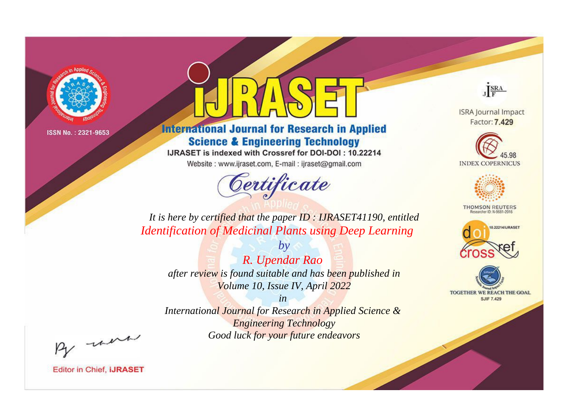

# **International Journal for Research in Applied Science & Engineering Technology**

IJRASET is indexed with Crossref for DOI-DOI: 10.22214

Website: www.ijraset.com, E-mail: ijraset@gmail.com



JERA

**ISRA Journal Impact** Factor: 7.429





**THOMSON REUTERS** 



TOGETHER WE REACH THE GOAL **SJIF 7.429** 

*It is here by certified that the paper ID : IJRASET41190, entitled Identification of Medicinal Plants using Deep Learning*

*by R. Upendar Rao after review is found suitable and has been published in Volume 10, Issue IV, April 2022*

*in* 

*International Journal for Research in Applied Science & Engineering Technology Good luck for your future endeavors*

By morn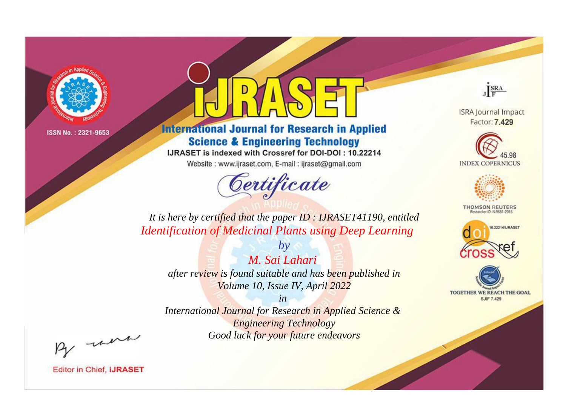

# **International Journal for Research in Applied Science & Engineering Technology**

IJRASET is indexed with Crossref for DOI-DOI: 10.22214

Website: www.ijraset.com, E-mail: ijraset@gmail.com



JERA

**ISRA Journal Impact** Factor: 7.429





**THOMSON REUTERS** 



TOGETHER WE REACH THE GOAL **SJIF 7.429** 

*It is here by certified that the paper ID : IJRASET41190, entitled Identification of Medicinal Plants using Deep Learning*

*M. Sai Lahari after review is found suitable and has been published in Volume 10, Issue IV, April 2022*

*by*

*in* 

*International Journal for Research in Applied Science & Engineering Technology Good luck for your future endeavors*

By morn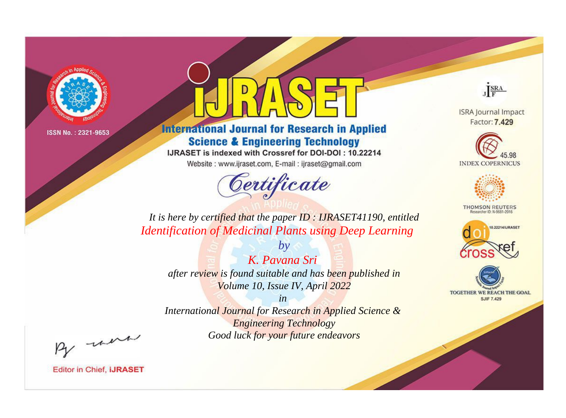

# **International Journal for Research in Applied Science & Engineering Technology**

IJRASET is indexed with Crossref for DOI-DOI: 10.22214

Website: www.ijraset.com, E-mail: ijraset@gmail.com



JERA

**ISRA Journal Impact** Factor: 7.429





**THOMSON REUTERS** 



TOGETHER WE REACH THE GOAL **SJIF 7.429** 

*It is here by certified that the paper ID : IJRASET41190, entitled Identification of Medicinal Plants using Deep Learning*

*K. Pavana Sri after review is found suitable and has been published in Volume 10, Issue IV, April 2022*

*by*

*in* 

*International Journal for Research in Applied Science & Engineering Technology Good luck for your future endeavors*

By morn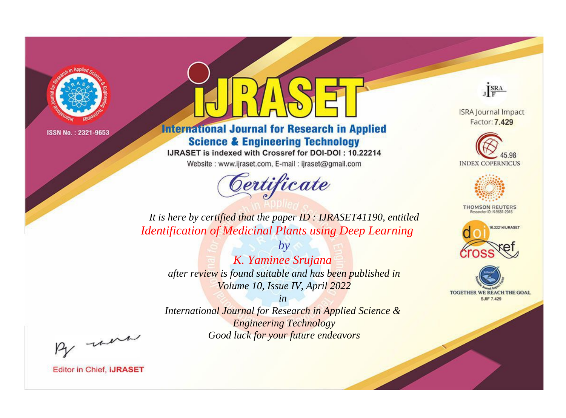

# **International Journal for Research in Applied Science & Engineering Technology**

IJRASET is indexed with Crossref for DOI-DOI: 10.22214

Website: www.ijraset.com, E-mail: ijraset@gmail.com



JERA

**ISRA Journal Impact** Factor: 7.429





**THOMSON REUTERS** 



TOGETHER WE REACH THE GOAL **SJIF 7.429** 

*It is here by certified that the paper ID : IJRASET41190, entitled Identification of Medicinal Plants using Deep Learning*

*by K. Yaminee Srujana after review is found suitable and has been published in Volume 10, Issue IV, April 2022*

*in* 

*International Journal for Research in Applied Science & Engineering Technology Good luck for your future endeavors*

By morn